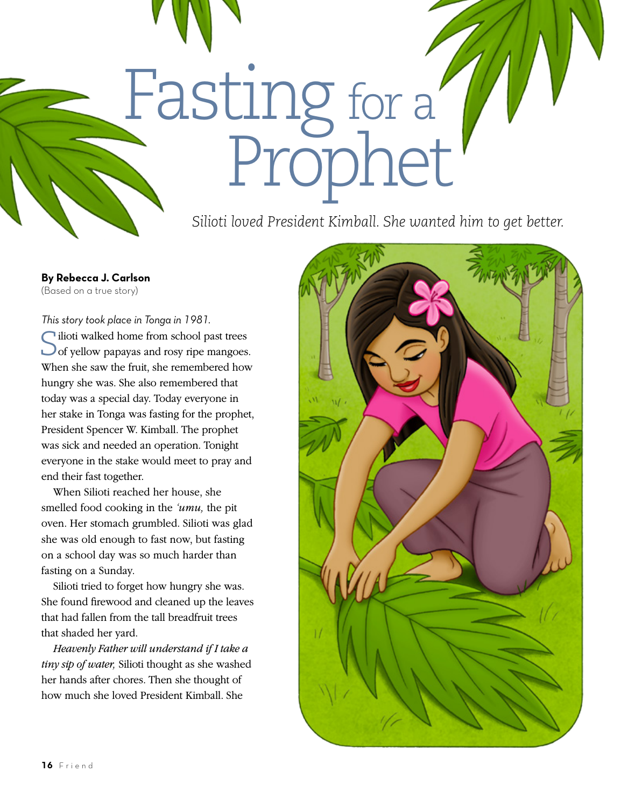*Silioti loved President Kimball. She wanted him to get better.*

Prophet

Fasting for a

**By Rebecca J. Carlson** (Based on a true story)

## *This story took place in Tonga in 1981.*

Silioti walked home from school past trees of yellow papayas and rosy ripe mangoes. When she saw the fruit, she remembered how hungry she was. She also remembered that today was a special day. Today everyone in her stake in Tonga was fasting for the prophet, President Spencer W. Kimball. The prophet was sick and needed an operation. Tonight everyone in the stake would meet to pray and end their fast together.

When Silioti reached her house, she smelled food cooking in the *'umu,* the pit oven. Her stomach grumbled. Silioti was glad she was old enough to fast now, but fasting on a school day was so much harder than fasting on a Sunday.

Silioti tried to forget how hungry she was. She found firewood and cleaned up the leaves that had fallen from the tall breadfruit trees that shaded her yard.

*Heavenly Father will understand if I take a tiny sip of water,* Silioti thought as she washed her hands after chores. Then she thought of how much she loved President Kimball. She